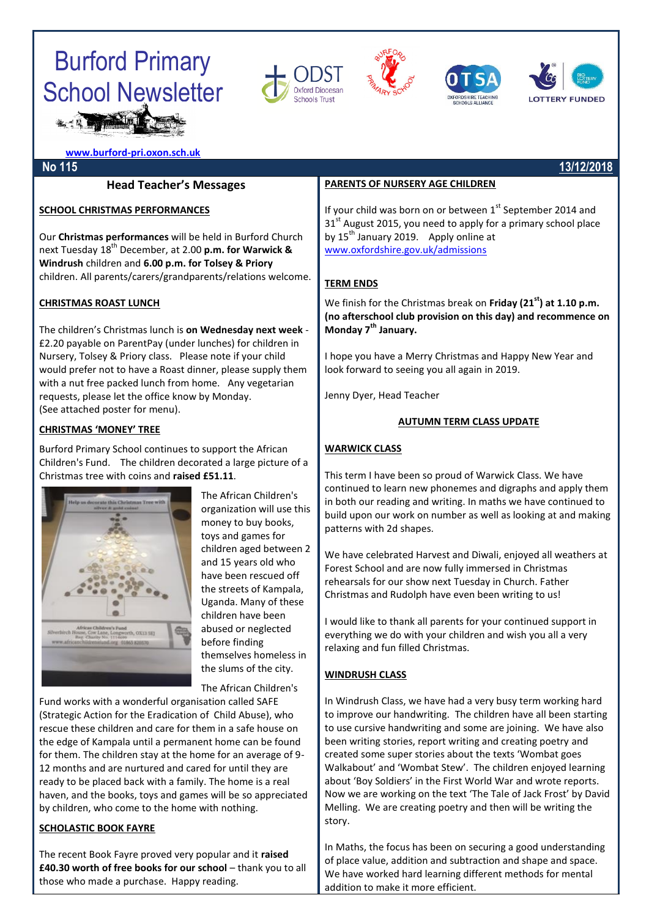### Burford Primary School Newsletter **SHIP REPORTS**









**[www.burford-pri.oxon.sch.uk](http://www.burford-pri.oxon.sch.uk/)**

#### **Head Teacher's Messages**

#### **SCHOOL CHRISTMAS PERFORMANCES**

Our **Christmas performances** will be held in Burford Church next Tuesday 18 th December, at 2.00 **p.m. for Warwick & Windrush** children and **6.00 p.m. for Tolsey & Priory** children. All parents/carers/grandparents/relations welcome.

#### **CHRISTMAS ROAST LUNCH**

The children's Christmas lunch is **on Wednesday next week** - £2.20 payable on ParentPay (under lunches) for children in Nursery, Tolsey & Priory class. Please note if your child would prefer not to have a Roast dinner, please supply them with a nut free packed lunch from home. Any vegetarian requests, please let the office know by Monday. (See attached poster for menu).

#### **CHRISTMAS 'MONEY' TREE**

Burford Primary School continues to support the African Children's Fund. The children decorated a large picture of a Christmas tree with coins and **raised £51.11**.



The African Children's organization will use this money to buy books, toys and games for children aged between 2 and 15 years old who have been rescued off the streets of Kampala, Uganda. Many of these children have been abused or neglected before finding themselves homeless in the slums of the city.

The African Children's

Fund works with a wonderful organisation called SAFE (Strategic Action for the Eradication of Child Abuse), who rescue these children and care for them in a safe house on the edge of Kampala until a permanent home can be found for them. The children stay at the home for an average of 9- 12 months and are nurtured and cared for until they are ready to be placed back with a family. The home is a real haven, and the books, toys and games will be so appreciated by children, who come to the home with nothing.

#### **SCHOLASTIC BOOK FAYRE**

The recent Book Fayre proved very popular and it **raised £40.30 worth of free books for our school** – thank you to all those who made a purchase. Happy reading.

#### **PARENTS OF NURSERY AGE CHILDREN**

If your child was born on or between  $1<sup>st</sup>$  September 2014 and  $31<sup>st</sup>$  August 2015, you need to apply for a primary school place by  $15^{th}$  January 2019. Apply online at [www.oxfordshire.gov.uk/admissions](http://www.oxfordshire.gov.uk/admissions)

#### **TERM ENDS**

We finish for the Christmas break on **Friday (21st) at 1.10 p.m. (no afterschool club provision on this day) and recommence on Monday 7th January.** 

I hope you have a Merry Christmas and Happy New Year and look forward to seeing you all again in 2019.

Jenny Dyer, Head Teacher

#### **AUTUMN TERM CLASS UPDATE**

#### **WARWICK CLASS**

This term I have been so proud of Warwick Class. We have continued to learn new phonemes and digraphs and apply them in both our reading and writing. In maths we have continued to build upon our work on number as well as looking at and making patterns with 2d shapes.

We have celebrated Harvest and Diwali, enjoyed all weathers at Forest School and are now fully immersed in Christmas rehearsals for our show next Tuesday in Church. Father Christmas and Rudolph have even been writing to us!

I would like to thank all parents for your continued support in everything we do with your children and wish you all a very relaxing and fun filled Christmas.

#### **WINDRUSH CLASS**

In Windrush Class, we have had a very busy term working hard to improve our handwriting. The children have all been starting to use cursive handwriting and some are joining. We have also been writing stories, report writing and creating poetry and created some super stories about the texts 'Wombat goes Walkabout' and 'Wombat Stew'. The children enjoyed learning about 'Boy Soldiers' in the First World War and wrote reports. Now we are working on the text 'The Tale of Jack Frost' by David Melling. We are creating poetry and then will be writing the story.

In Maths, the focus has been on securing a good understanding of place value, addition and subtraction and shape and space. We have worked hard learning different methods for mental addition to make it more efficient.

#### **No 115 13/12/2018**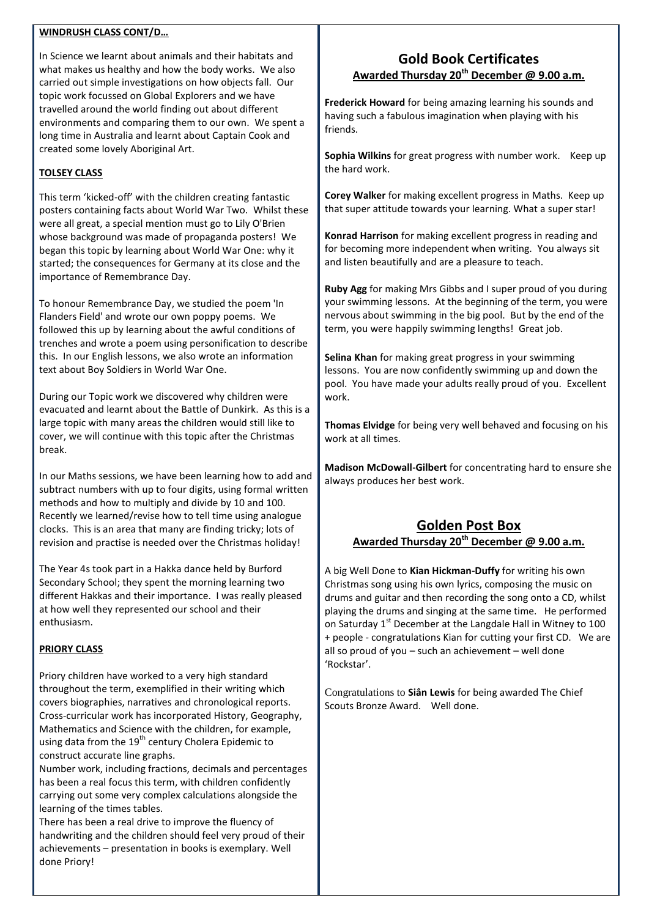#### **WINDRUSH CLASS CONT/D…**

In Science we learnt about animals and their habitats and what makes us healthy and how the body works. We also carried out simple investigations on how objects fall. Our topic work focussed on Global Explorers and we have travelled around the world finding out about different environments and comparing them to our own. We spent a long time in Australia and learnt about Captain Cook and created some lovely Aboriginal Art.

#### **TOLSEY CLASS**

This term 'kicked-off' with the children creating fantastic posters containing facts about World War Two. Whilst these were all great, a special mention must go to Lily O'Brien whose background was made of propaganda posters! We began this topic by learning about World War One: why it started; the consequences for Germany at its close and the importance of Remembrance Day.

To honour Remembrance Day, we studied the poem 'In Flanders Field' and wrote our own poppy poems. We followed this up by learning about the awful conditions of trenches and wrote a poem using personification to describe this. In our English lessons, we also wrote an information text about Boy Soldiers in World War One.

During our Topic work we discovered why children were evacuated and learnt about the Battle of Dunkirk. As this is a large topic with many areas the children would still like to cover, we will continue with this topic after the Christmas break.

In our Maths sessions, we have been learning how to add and subtract numbers with up to four digits, using formal written methods and how to multiply and divide by 10 and 100. Recently we learned/revise how to tell time using analogue clocks. This is an area that many are finding tricky; lots of revision and practise is needed over the Christmas holiday!

The Year 4s took part in a Hakka dance held by Burford Secondary School; they spent the morning learning two different Hakkas and their importance. I was really pleased at how well they represented our school and their enthusiasm.

#### **PRIORY CLASS**

Priory children have worked to a very high standard throughout the term, exemplified in their writing which covers biographies, narratives and chronological reports. Cross-curricular work has incorporated History, Geography, Mathematics and Science with the children, for example, using data from the  $19^{th}$  century Cholera Epidemic to construct accurate line graphs.

Number work, including fractions, decimals and percentages has been a real focus this term, with children confidently carrying out some very complex calculations alongside the learning of the times tables.

There has been a real drive to improve the fluency of handwriting and the children should feel very proud of their achievements – presentation in books is exemplary. Well done Priory!

#### **Gold Book Certificates Awarded Thursday 20th December @ 9.00 a.m.**

**Frederick Howard** for being amazing learning his sounds and having such a fabulous imagination when playing with his friends.

**Sophia Wilkins** for great progress with number work. Keep up the hard work.

**Corey Walker** for making excellent progress in Maths. Keep up that super attitude towards your learning. What a super star!

**Konrad Harrison** for making excellent progress in reading and for becoming more independent when writing. You always sit and listen beautifully and are a pleasure to teach.

**Ruby Agg** for making Mrs Gibbs and I super proud of you during your swimming lessons. At the beginning of the term, you were nervous about swimming in the big pool. But by the end of the term, you were happily swimming lengths! Great job.

**Selina Khan** for making great progress in your swimming lessons. You are now confidently swimming up and down the pool. You have made your adults really proud of you. Excellent work.

**Thomas Elvidge** for being very well behaved and focusing on his work at all times.

**Madison McDowall-Gilbert** for concentrating hard to ensure she always produces her best work.

#### **Golden Post Box Awarded Thursday 20th December @ 9.00 a.m.**

A big Well Done to **Kian Hickman-Duffy** for writing his own Christmas song using his own lyrics, composing the music on drums and guitar and then recording the song onto a CD, whilst playing the drums and singing at the same time. He performed on Saturday 1<sup>st</sup> December at the Langdale Hall in Witney to 100 + people - congratulations Kian for cutting your first CD. We are all so proud of you – such an achievement – well done 'Rockstar'.

Congratulations to **Siân Lewis** for being awarded The Chief Scouts Bronze Award. Well done.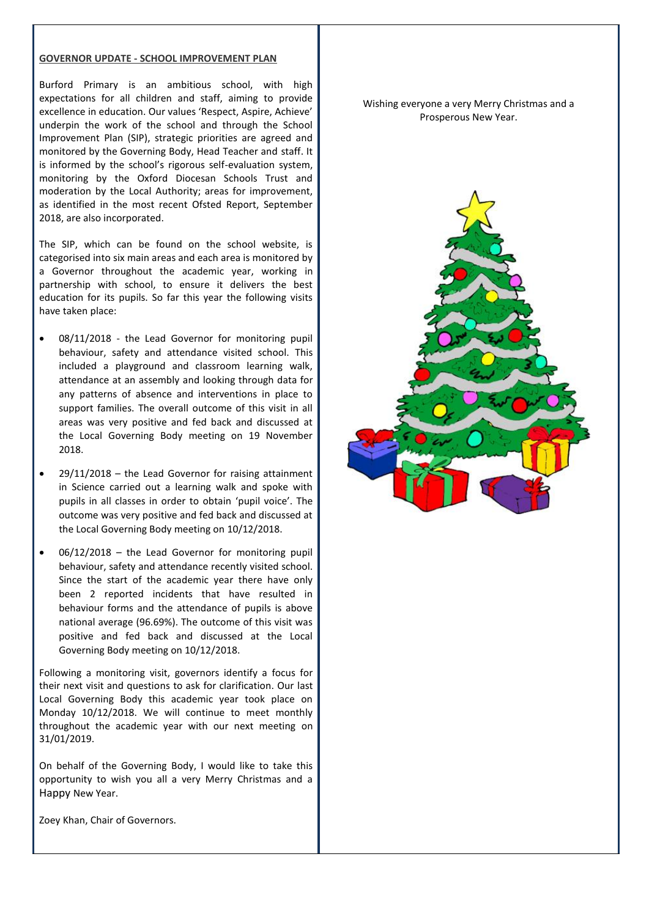#### **GOVERNOR UPDATE - SCHOOL IMPROVEMENT PLAN**

Burford Primary is an ambitious school, with high expectations for all children and staff, aiming to provide excellence in education. Our values 'Respect, Aspire, Achieve' underpin the work of the school and through the School Improvement Plan (SIP), strategic priorities are agreed and monitored by the Governing Body, Head Teacher and staff. It is informed by the school's rigorous self-evaluation system, monitoring by the Oxford Diocesan Schools Trust and moderation by the Local Authority; areas for improvement, as identified in the most recent Ofsted Report, September 2018, are also incorporated.

The SIP, which can be found on the school website, is categorised into six main areas and each area is monitored by a Governor throughout the academic year, working in partnership with school, to ensure it delivers the best education for its pupils. So far this year the following visits have taken place:

- 08/11/2018 the Lead Governor for monitoring pupil behaviour, safety and attendance visited school. This included a playground and classroom learning walk, attendance at an assembly and looking through data for any patterns of absence and interventions in place to support families. The overall outcome of this visit in all areas was very positive and fed back and discussed at the Local Governing Body meeting on 19 November 2018.
- 29/11/2018 the Lead Governor for raising attainment in Science carried out a learning walk and spoke with pupils in all classes in order to obtain 'pupil voice'. The outcome was very positive and fed back and discussed at the Local Governing Body meeting on 10/12/2018.
- 06/12/2018 the Lead Governor for monitoring pupil behaviour, safety and attendance recently visited school. Since the start of the academic year there have only been 2 reported incidents that have resulted in behaviour forms and the attendance of pupils is above national average (96.69%). The outcome of this visit was positive and fed back and discussed at the Local Governing Body meeting on 10/12/2018.

Following a monitoring visit, governors identify a focus for their next visit and questions to ask for clarification. Our last Local Governing Body this academic year took place on Monday 10/12/2018. We will continue to meet monthly throughout the academic year with our next meeting on 31/01/2019.

On behalf of the Governing Body, I would like to take this opportunity to wish you all a very Merry Christmas and a Happy New Year.

Zoey Khan, Chair of Governors.

Wishing everyone a very Merry Christmas and a Prosperous New Year.